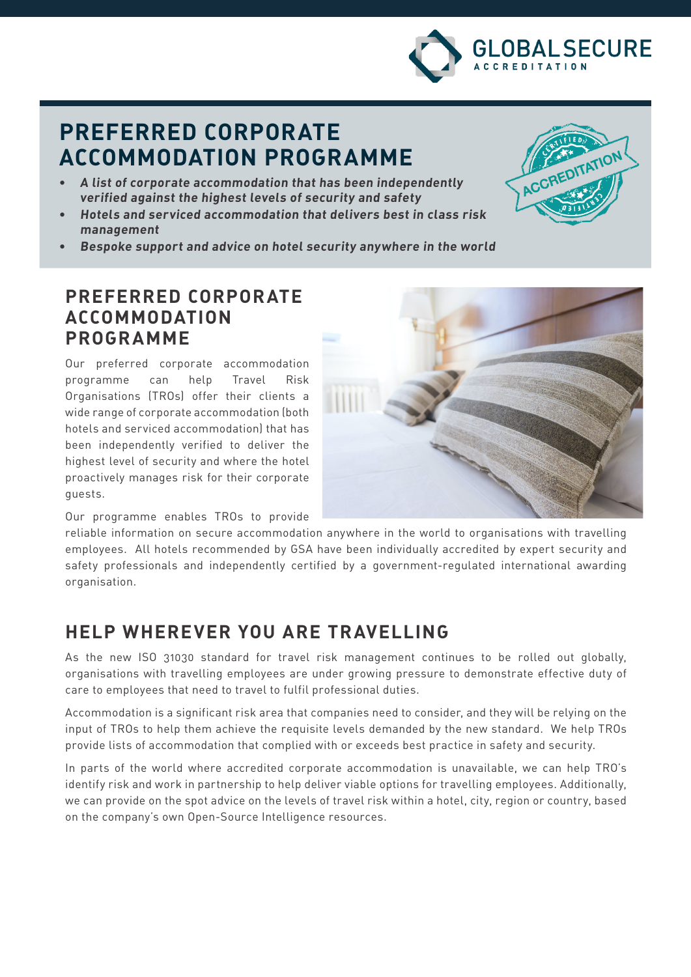

# **PREFERRED CORPORATE ACCOMMODATION PROGRAMME**

- **• A list of corporate accommodation that has been independently verified against the highest levels of security and safety**
- **• Hotels and serviced accommodation that delivers best in class risk management**



**• Bespoke support and advice on hotel security anywhere in the world**

#### **PREFERRED CORPORATE ACCOMMODATION PROGRAMME**

Our preferred corporate accommodation programme can help Travel Risk Organisations (TROs) offer their clients a wide range of corporate accommodation (both hotels and serviced accommodation) that has been independently verified to deliver the highest level of security and where the hotel proactively manages risk for their corporate guests.

Our programme enables TROs to provide

reliable information on secure accommodation anywhere in the world to organisations with travelling employees. All hotels recommended by GSA have been individually accredited by expert security and safety professionals and independently certified by a government-regulated international awarding organisation.

### **HELP WHEREVER YOU ARE TRAVELLING**

As the new ISO 31030 standard for travel risk management continues to be rolled out globally, organisations with travelling employees are under growing pressure to demonstrate effective duty of care to employees that need to travel to fulfil professional duties.

Accommodation is a significant risk area that companies need to consider, and they will be relying on the input of TROs to help them achieve the requisite levels demanded by the new standard. We help TROs provide lists of accommodation that complied with or exceeds best practice in safety and security.

In parts of the world where accredited corporate accommodation is unavailable, we can help TRO's identify risk and work in partnership to help deliver viable options for travelling employees. Additionally, we can provide on the spot advice on the levels of travel risk within a hotel, city, region or country, based on the company's own Open-Source Intelligence resources.